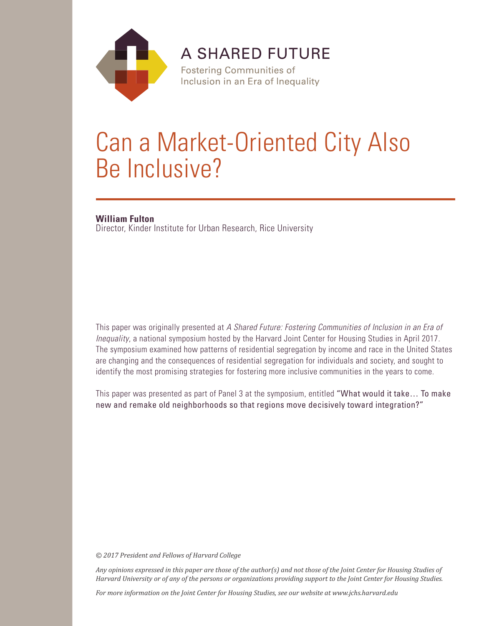

**A SHARED FUTURE** 

**Fostering Communities of** Inclusion in an Era of Inequality

# Can a Market-Oriented City Also Be Inclusive?

### **William Fulton**

Director, Kinder Institute for Urban Research, Rice University

This paper was originally presented at *A Shared Future: Fostering Communities of Inclusion in an Era of Inequality*, a national symposium hosted by the Harvard Joint Center for Housing Studies in April 2017. The symposium examined how patterns of residential segregation by income and race in the United States are changing and the consequences of residential segregation for individuals and society, and sought to identify the most promising strategies for fostering more inclusive communities in the years to come.

This paper was presented as part of Panel 3 at the symposium, entitled "What would it take… To make new and remake old neighborhoods so that regions move decisively toward integration?"

*© 2017 President and Fellows of Harvard College*

*Any opinions expressed in this paper are those of the author(s) and not those of the Joint Center for Housing Studies of Harvard University or of any of the persons or organizations providing support to the Joint Center for Housing Studies.* 

*For more information on the Joint Center for Housing Studies, see our website at www.jchs.harvard.edu*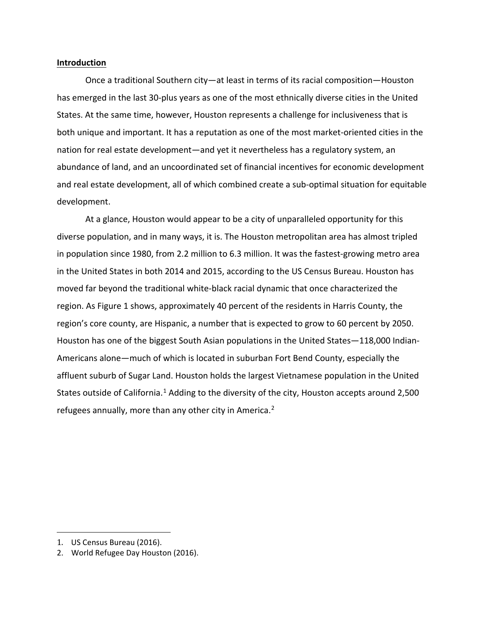#### **Introduction**

Once a traditional Southern city—at least in terms of its racial composition—Houston has emerged in the last 30-plus years as one of the most ethnically diverse cities in the United States. At the same time, however, Houston represents a challenge for inclusiveness that is both unique and important. It has a reputation as one of the most market-oriented cities in the nation for real estate development—and yet it nevertheless has a regulatory system, an abundance of land, and an uncoordinated set of financial incentives for economic development and real estate development, all of which combined create a sub-optimal situation for equitable development.

At a glance, Houston would appear to be a city of unparalleled opportunity for this diverse population, and in many ways, it is. The Houston metropolitan area has almost tripled in population since 1980, from 2.2 million to 6.3 million. It was the fastest-growing metro area in the United States in both 2014 and 2015, according to the US Census Bureau. Houston has moved far beyond the traditional white-black racial dynamic that once characterized the region. As Figure 1 shows, approximately 40 percent of the residents in Harris County, the region's core county, are Hispanic, a number that is expected to grow to 60 percent by 2050. Houston has one of the biggest South Asian populations in the United States—118,000 Indian-Americans alone—much of which is located in suburban Fort Bend County, especially the affluent suburb of Sugar Land. Houston holds the largest Vietnamese population in the United States outside of California.<sup>[1](#page-2-0)</sup> Adding to the diversity of the city, Houston accepts around 2,500 refugees annually, more than any other city in America.<sup>[2](#page-2-1)</sup>

<span id="page-2-0"></span>i<br>I 1. US Census Bureau (2016).

<span id="page-2-1"></span><sup>2.</sup> World Refugee Day Houston (2016).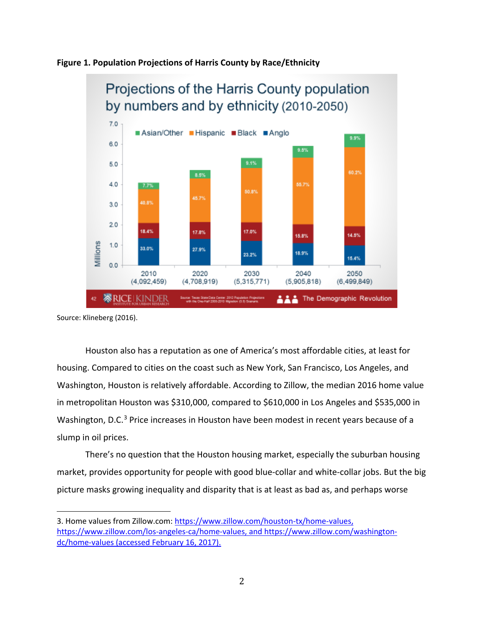



Source: Klineberg (2016).

Houston also has a reputation as one of America's most affordable cities, at least for housing. Compared to cities on the coast such as New York, San Francisco, Los Angeles, and Washington, Houston is relatively affordable. According to Zillow, the median 2016 home value in metropolitan Houston was \$310,000, compared to \$610,000 in Los Angeles and \$535,000 in Washington, D.C.<sup>[3](#page-3-0)</sup> Price increases in Houston have been modest in recent years because of a slump in oil prices.

There's no question that the Houston housing market, especially the suburban housing market, provides opportunity for people with good blue-collar and white-collar jobs. But the big picture masks growing inequality and disparity that is at least as bad as, and perhaps worse

<span id="page-3-0"></span>i<br>I 3. Home values from Zillow.com: [https://www.zillow.com/houston-tx/home-values,](https://www.zillow.com/houston-tx/home-values) [https://www.zillow.com/los-angeles-ca/home-values,](https://www.zillow.com/los-angeles-ca/home-values) and [https://www.zillow.com/washington](https://www.zillow.com/washington-dc/home-values)[dc/home-values](https://www.zillow.com/washington-dc/home-values) (accessed February 16, 2017).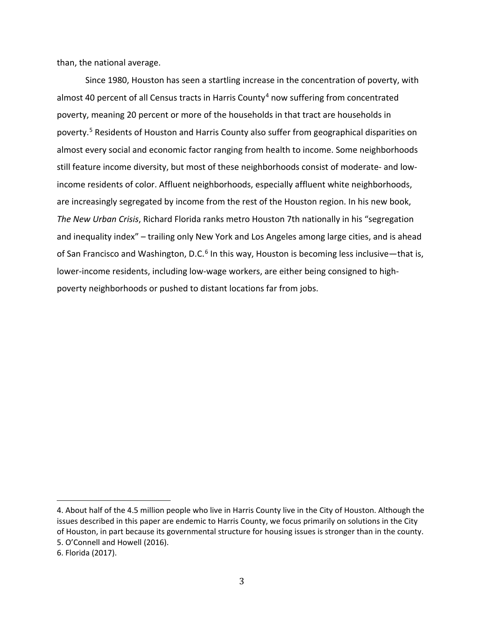than, the national average.

Since 1980, Houston has seen a startling increase in the concentration of poverty, with almost [4](#page-4-0)0 percent of all Census tracts in Harris County<sup>4</sup> now suffering from concentrated poverty, meaning 20 percent or more of the households in that tract are households in poverty. [5](#page-4-1) Residents of Houston and Harris County also suffer from geographical disparities on almost every social and economic factor ranging from health to income. Some neighborhoods still feature income diversity, but most of these neighborhoods consist of moderate- and lowincome residents of color. Affluent neighborhoods, especially affluent white neighborhoods, are increasingly segregated by income from the rest of the Houston region. In his new book, *The New Urban Crisis*, Richard Florida ranks metro Houston 7th nationally in his "segregation and inequality index" – trailing only New York and Los Angeles among large cities, and is ahead of San Francisco and Washington, D.C. $6$  In this way, Houston is becoming less inclusive—that is, lower-income residents, including low-wage workers, are either being consigned to highpoverty neighborhoods or pushed to distant locations far from jobs.

<span id="page-4-0"></span>i<br>I 4. About half of the 4.5 million people who live in Harris County live in the City of Houston. Although the issues described in this paper are endemic to Harris County, we focus primarily on solutions in the City of Houston, in part because its governmental structure for housing issues is stronger than in the county. 5. O'Connell and Howell (2016).

<span id="page-4-2"></span><span id="page-4-1"></span><sup>6.</sup> Florida (2017).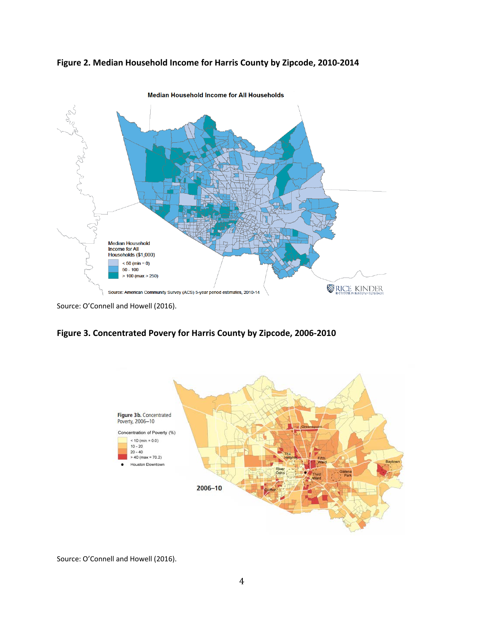



Source: O'Connell and Howell (2016).

**Figure 3. Concentrated Povery for Harris County by Zipcode, 2006-2010**



Source: O'Connell and Howell (2016).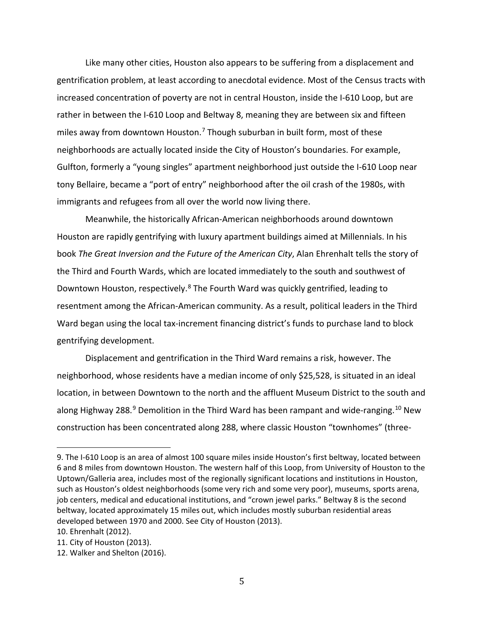Like many other cities, Houston also appears to be suffering from a displacement and gentrification problem, at least according to anecdotal evidence. Most of the Census tracts with increased concentration of poverty are not in central Houston, inside the I-610 Loop, but are rather in between the I-610 Loop and Beltway 8, meaning they are between six and fifteen miles away from downtown Houston.<sup>[7](#page-6-0)</sup> Though suburban in built form, most of these neighborhoods are actually located inside the City of Houston's boundaries. For example, Gulfton, formerly a "young singles" apartment neighborhood just outside the I-610 Loop near tony Bellaire, became a "port of entry" neighborhood after the oil crash of the 1980s, with immigrants and refugees from all over the world now living there.

Meanwhile, the historically African-American neighborhoods around downtown Houston are rapidly gentrifying with luxury apartment buildings aimed at Millennials. In his book *The Great Inversion and the Future of the American City*, Alan Ehrenhalt tells the story of the Third and Fourth Wards, which are located immediately to the south and southwest of Downtown Houston, respectively.<sup>[8](#page-6-1)</sup> The Fourth Ward was quickly gentrified, leading to resentment among the African-American community. As a result, political leaders in the Third Ward began using the local tax-increment financing district's funds to purchase land to block gentrifying development.

Displacement and gentrification in the Third Ward remains a risk, however. The neighborhood, whose residents have a median income of only \$25,528, is situated in an ideal location, in between Downtown to the north and the affluent Museum District to the south and along Highway 288.<sup>[9](#page-6-2)</sup> Demolition in the Third Ward has been rampant and wide-ranging.<sup>[10](#page-6-3)</sup> New construction has been concentrated along 288, where classic Houston "townhomes" (three-

<span id="page-6-0"></span>i<br>I 9. The I-610 Loop is an area of almost 100 square miles inside Houston's first beltway, located between 6 and 8 miles from downtown Houston. The western half of this Loop, from University of Houston to the Uptown/Galleria area, includes most of the regionally significant locations and institutions in Houston, such as Houston's oldest neighborhoods (some very rich and some very poor), museums, sports arena, job centers, medical and educational institutions, and "crown jewel parks." Beltway 8 is the second beltway, located approximately 15 miles out, which includes mostly suburban residential areas developed between 1970 and 2000. See City of Houston (2013).

<span id="page-6-1"></span><sup>10.</sup> Ehrenhalt (2012).

<span id="page-6-2"></span><sup>11.</sup> City of Houston (2013).

<span id="page-6-3"></span><sup>12.</sup> Walker and Shelton (2016).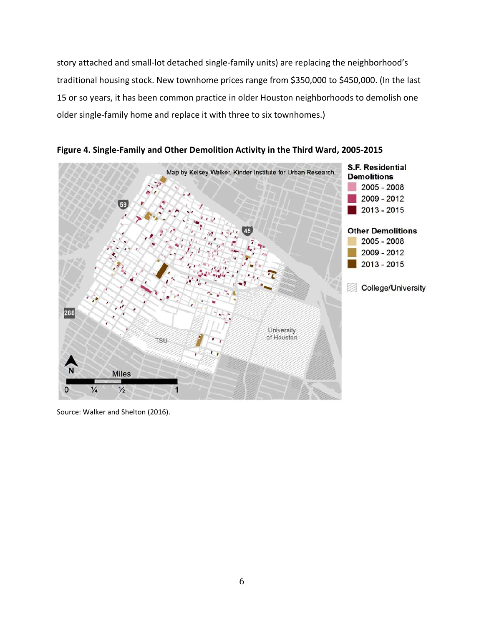story attached and small-lot detached single-family units) are replacing the neighborhood's traditional housing stock. New townhome prices range from \$350,000 to \$450,000. (In the last 15 or so years, it has been common practice in older Houston neighborhoods to demolish one older single-family home and replace it with three to six townhomes.)



**Figure 4. Single-Family and Other Demolition Activity in the Third Ward, 2005-2015**

Source: Walker and Shelton (2016).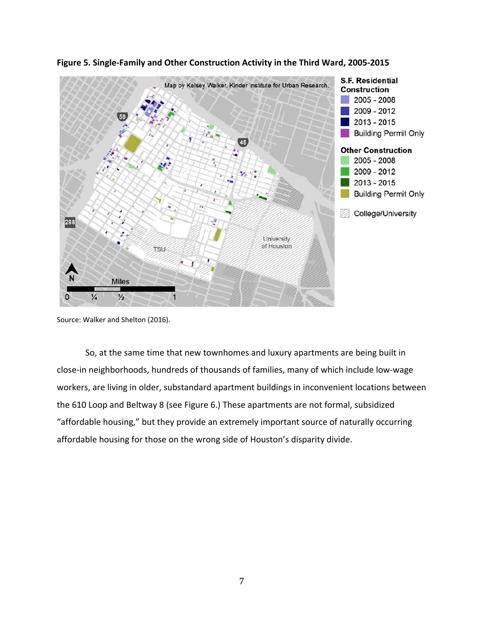

**Figure 5. Single-Family and Other Construction Activity in the Third Ward, 2005-2015**

Source: Walker and Shelton (2016).

So, at the same time that new townhomes and luxury apartments are being built in close-in neighborhoods, hundreds of thousands of families, many of which include low-wage workers, are living in older, substandard apartment buildings in inconvenient locations between the 610 Loop and Beltway 8 (see Figure 6.) These apartments are not formal, subsidized "affordable housing," but they provide an extremely important source of naturally occurring affordable housing for those on the wrong side of Houston's disparity divide.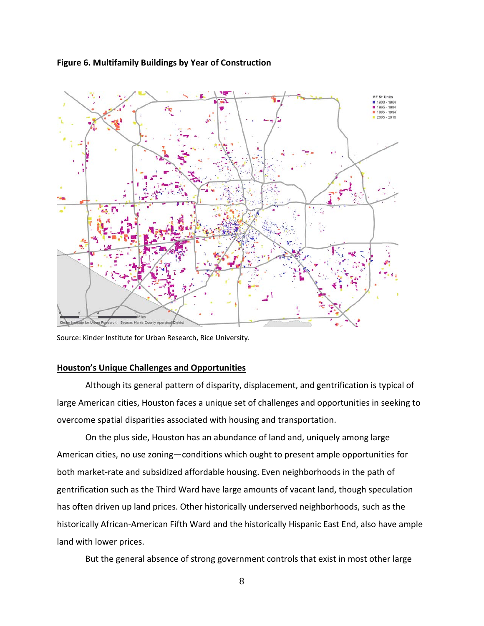



Source: Kinder Institute for Urban Research, Rice University.

#### **Houston's Unique Challenges and Opportunities**

Although its general pattern of disparity, displacement, and gentrification is typical of large American cities, Houston faces a unique set of challenges and opportunities in seeking to overcome spatial disparities associated with housing and transportation.

On the plus side, Houston has an abundance of land and, uniquely among large American cities, no use zoning—conditions which ought to present ample opportunities for both market-rate and subsidized affordable housing. Even neighborhoods in the path of gentrification such as the Third Ward have large amounts of vacant land, though speculation has often driven up land prices. Other historically underserved neighborhoods, such as the historically African-American Fifth Ward and the historically Hispanic East End, also have ample land with lower prices.

But the general absence of strong government controls that exist in most other large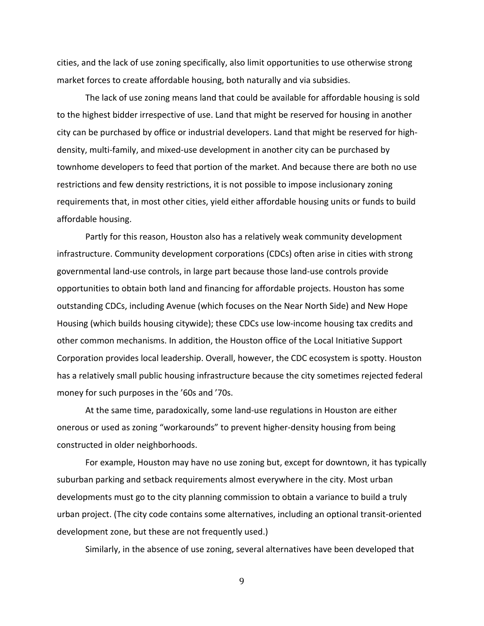cities, and the lack of use zoning specifically, also limit opportunities to use otherwise strong market forces to create affordable housing, both naturally and via subsidies.

The lack of use zoning means land that could be available for affordable housing is sold to the highest bidder irrespective of use. Land that might be reserved for housing in another city can be purchased by office or industrial developers. Land that might be reserved for highdensity, multi-family, and mixed-use development in another city can be purchased by townhome developers to feed that portion of the market. And because there are both no use restrictions and few density restrictions, it is not possible to impose inclusionary zoning requirements that, in most other cities, yield either affordable housing units or funds to build affordable housing.

Partly for this reason, Houston also has a relatively weak community development infrastructure. Community development corporations (CDCs) often arise in cities with strong governmental land-use controls, in large part because those land-use controls provide opportunities to obtain both land and financing for affordable projects. Houston has some outstanding CDCs, including Avenue (which focuses on the Near North Side) and New Hope Housing (which builds housing citywide); these CDCs use low-income housing tax credits and other common mechanisms. In addition, the Houston office of the Local Initiative Support Corporation provides local leadership. Overall, however, the CDC ecosystem is spotty. Houston has a relatively small public housing infrastructure because the city sometimes rejected federal money for such purposes in the '60s and '70s.

At the same time, paradoxically, some land-use regulations in Houston are either onerous or used as zoning "workarounds" to prevent higher-density housing from being constructed in older neighborhoods.

For example, Houston may have no use zoning but, except for downtown, it has typically suburban parking and setback requirements almost everywhere in the city. Most urban developments must go to the city planning commission to obtain a variance to build a truly urban project. (The city code contains some alternatives, including an optional transit-oriented development zone, but these are not frequently used.)

Similarly, in the absence of use zoning, several alternatives have been developed that

9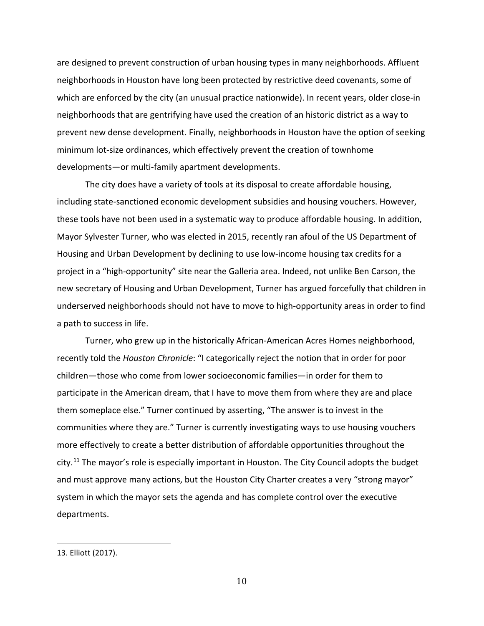are designed to prevent construction of urban housing types in many neighborhoods. Affluent neighborhoods in Houston have long been protected by restrictive deed covenants, some of which are enforced by the city (an unusual practice nationwide). In recent years, older close-in neighborhoods that are gentrifying have used the creation of an historic district as a way to prevent new dense development. Finally, neighborhoods in Houston have the option of seeking minimum lot-size ordinances, which effectively prevent the creation of townhome developments—or multi-family apartment developments.

The city does have a variety of tools at its disposal to create affordable housing, including state-sanctioned economic development subsidies and housing vouchers. However, these tools have not been used in a systematic way to produce affordable housing. In addition, Mayor Sylvester Turner, who was elected in 2015, recently ran afoul of the US Department of Housing and Urban Development by declining to use low-income housing tax credits for a project in a "high-opportunity" site near the Galleria area. Indeed, not unlike Ben Carson, the new secretary of Housing and Urban Development, Turner has argued forcefully that children in underserved neighborhoods should not have to move to high-opportunity areas in order to find a path to success in life.

Turner, who grew up in the historically African-American Acres Homes neighborhood, recently told the *Houston Chronicle*: "I categorically reject the notion that in order for poor children—those who come from lower socioeconomic families—in order for them to participate in the American dream, that I have to move them from where they are and place them someplace else." Turner continued by asserting, "The answer is to invest in the communities where they are." Turner is currently investigating ways to use housing vouchers more effectively to create a better distribution of affordable opportunities throughout the city.<sup>[11](#page-11-0)</sup> The mayor's role is especially important in Houston. The City Council adopts the budget and must approve many actions, but the Houston City Charter creates a very "strong mayor" system in which the mayor sets the agenda and has complete control over the executive departments.

i<br>I

<span id="page-11-0"></span><sup>13.</sup> Elliott (2017).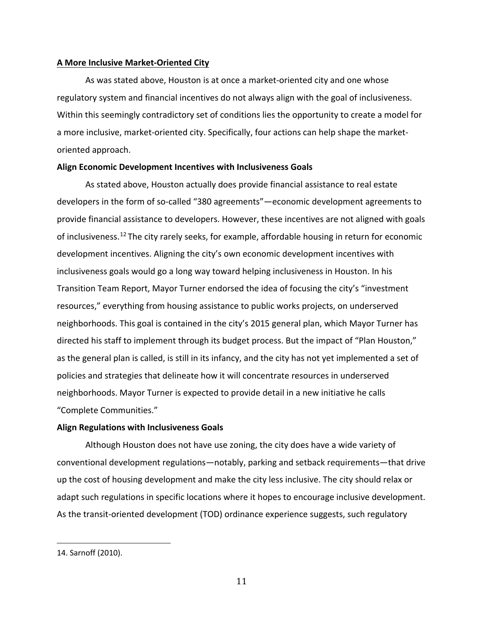#### **A More Inclusive Market-Oriented City**

As was stated above, Houston is at once a market-oriented city and one whose regulatory system and financial incentives do not always align with the goal of inclusiveness. Within this seemingly contradictory set of conditions lies the opportunity to create a model for a more inclusive, market-oriented city. Specifically, four actions can help shape the marketoriented approach.

#### **Align Economic Development Incentives with Inclusiveness Goals**

As stated above, Houston actually does provide financial assistance to real estate developers in the form of so-called "380 agreements"—economic development agreements to provide financial assistance to developers. However, these incentives are not aligned with goals of inclusiveness.<sup>[12](#page-12-0)</sup> The city rarely seeks, for example, affordable housing in return for economic development incentives. Aligning the city's own economic development incentives with inclusiveness goals would go a long way toward helping inclusiveness in Houston. In his Transition Team Report, Mayor Turner endorsed the idea of focusing the city's "investment resources," everything from housing assistance to public works projects, on underserved neighborhoods. This goal is contained in the city's 2015 general plan, which Mayor Turner has directed his staff to implement through its budget process. But the impact of "Plan Houston," as the general plan is called, is still in its infancy, and the city has not yet implemented a set of policies and strategies that delineate how it will concentrate resources in underserved neighborhoods. Mayor Turner is expected to provide detail in a new initiative he calls "Complete Communities."

#### **Align Regulations with Inclusiveness Goals**

Although Houston does not have use zoning, the city does have a wide variety of conventional development regulations—notably, parking and setback requirements—that drive up the cost of housing development and make the city less inclusive. The city should relax or adapt such regulations in specific locations where it hopes to encourage inclusive development. As the transit-oriented development (TOD) ordinance experience suggests, such regulatory

<span id="page-12-0"></span>i<br>I 14. Sarnoff (2010).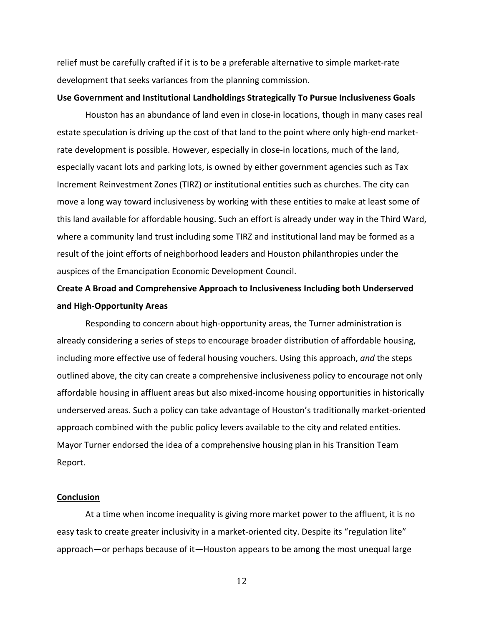relief must be carefully crafted if it is to be a preferable alternative to simple market-rate development that seeks variances from the planning commission.

#### **Use Government and Institutional Landholdings Strategically To Pursue Inclusiveness Goals**

Houston has an abundance of land even in close-in locations, though in many cases real estate speculation is driving up the cost of that land to the point where only high-end marketrate development is possible. However, especially in close-in locations, much of the land, especially vacant lots and parking lots, is owned by either government agencies such as Tax Increment Reinvestment Zones (TIRZ) or institutional entities such as churches. The city can move a long way toward inclusiveness by working with these entities to make at least some of this land available for affordable housing. Such an effort is already under way in the Third Ward, where a community land trust including some TIRZ and institutional land may be formed as a result of the joint efforts of neighborhood leaders and Houston philanthropies under the auspices of the Emancipation Economic Development Council.

## **Create A Broad and Comprehensive Approach to Inclusiveness Including both Underserved and High-Opportunity Areas**

Responding to concern about high-opportunity areas, the Turner administration is already considering a series of steps to encourage broader distribution of affordable housing, including more effective use of federal housing vouchers. Using this approach, *and* the steps outlined above, the city can create a comprehensive inclusiveness policy to encourage not only affordable housing in affluent areas but also mixed-income housing opportunities in historically underserved areas. Such a policy can take advantage of Houston's traditionally market-oriented approach combined with the public policy levers available to the city and related entities. Mayor Turner endorsed the idea of a comprehensive housing plan in his Transition Team Report.

#### **Conclusion**

At a time when income inequality is giving more market power to the affluent, it is no easy task to create greater inclusivity in a market-oriented city. Despite its "regulation lite" approach—or perhaps because of it—Houston appears to be among the most unequal large

12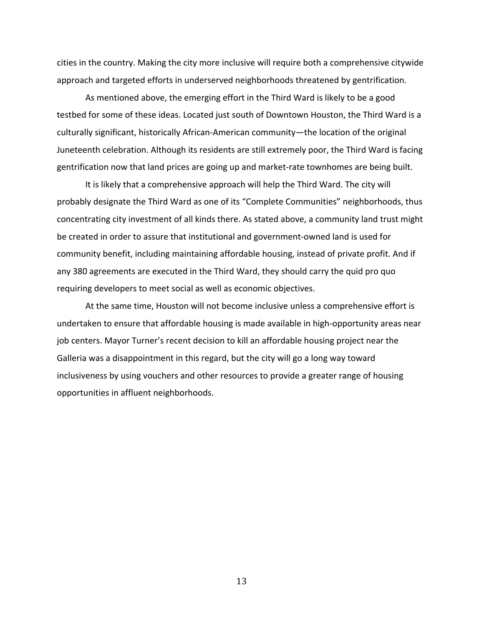cities in the country. Making the city more inclusive will require both a comprehensive citywide approach and targeted efforts in underserved neighborhoods threatened by gentrification.

As mentioned above, the emerging effort in the Third Ward is likely to be a good testbed for some of these ideas. Located just south of Downtown Houston, the Third Ward is a culturally significant, historically African-American community—the location of the original Juneteenth celebration. Although its residents are still extremely poor, the Third Ward is facing gentrification now that land prices are going up and market-rate townhomes are being built.

It is likely that a comprehensive approach will help the Third Ward. The city will probably designate the Third Ward as one of its "Complete Communities" neighborhoods, thus concentrating city investment of all kinds there. As stated above, a community land trust might be created in order to assure that institutional and government-owned land is used for community benefit, including maintaining affordable housing, instead of private profit. And if any 380 agreements are executed in the Third Ward, they should carry the quid pro quo requiring developers to meet social as well as economic objectives.

At the same time, Houston will not become inclusive unless a comprehensive effort is undertaken to ensure that affordable housing is made available in high-opportunity areas near job centers. Mayor Turner's recent decision to kill an affordable housing project near the Galleria was a disappointment in this regard, but the city will go a long way toward inclusiveness by using vouchers and other resources to provide a greater range of housing opportunities in affluent neighborhoods.

13